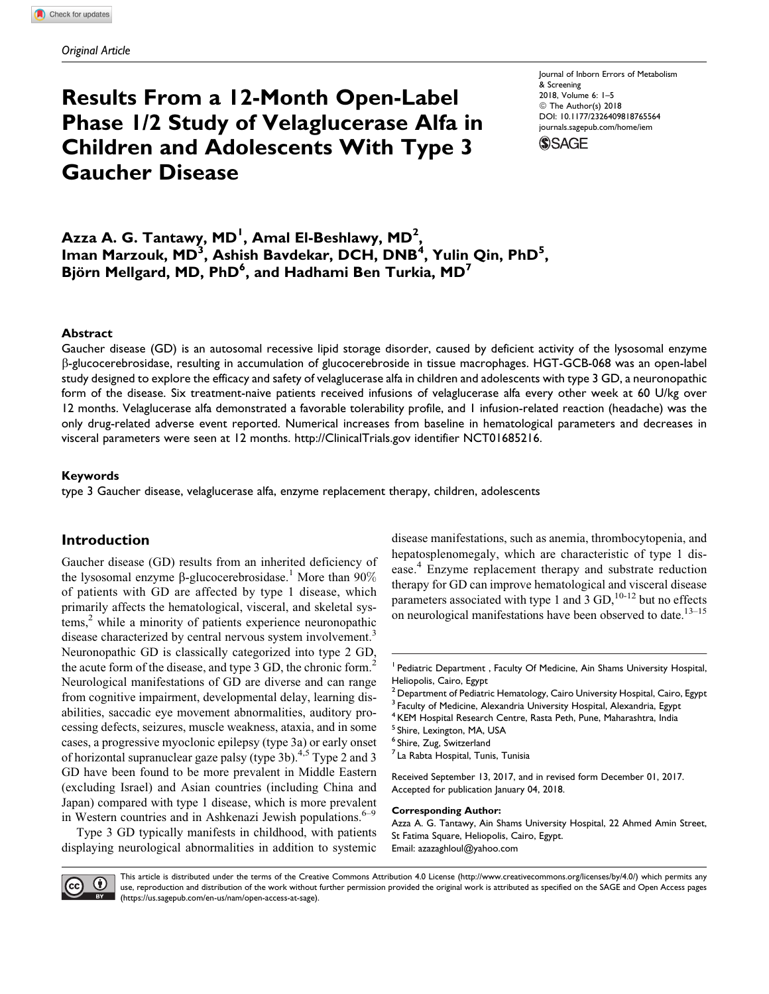# Results From a 12-Month Open-Label Phase 1/2 Study of Velaglucerase Alfa in Children and Adolescents With Type 3 Gaucher Disease

Journal of Inborn Errors of Metabolism & Screening 2018, Volume 6: 1–5 © The Author(s) 2018 [DOI: 10.1177/2326409818765564](https://doi.org/10.1177/2326409818765564) [journals.sagepub.com/home/iem](http://journals.sagepub.com/home/iem)



Azza A. G. Tantawy, MD<sup>1</sup>, Amal El-Beshlawy, MD<sup>2</sup>, Iman Marzouk, MD<sup>3</sup>, Ashish Bavdekar, DCH, DNB<sup>4</sup>, Yulin Qin, PhD<sup>5</sup>, Björn Mellgard, MD, PhD<sup>6</sup>, and Hadhami Ben Turkia, MD<sup>7</sup>

### Abstract

Gaucher disease (GD) is an autosomal recessive lipid storage disorder, caused by deficient activity of the lysosomal enzyme b-glucocerebrosidase, resulting in accumulation of glucocerebroside in tissue macrophages. HGT-GCB-068 was an open-label study designed to explore the efficacy and safety of velaglucerase alfa in children and adolescents with type 3 GD, a neuronopathic form of the disease. Six treatment-naive patients received infusions of velaglucerase alfa every other week at 60 U/kg over 12 months. Velaglucerase alfa demonstrated a favorable tolerability profile, and 1 infusion-related reaction (headache) was the only drug-related adverse event reported. Numerical increases from baseline in hematological parameters and decreases in visceral parameters were seen at 12 months.<http://ClinicalTrials.gov> identifier NCT01685216.

### Keywords

type 3 Gaucher disease, velaglucerase alfa, enzyme replacement therapy, children, adolescents

## Introduction

Gaucher disease (GD) results from an inherited deficiency of the lysosomal enzyme  $\beta$ -glucocerebrosidase.<sup>1</sup> More than 90% of patients with GD are affected by type 1 disease, which primarily affects the hematological, visceral, and skeletal systems,<sup>2</sup> while a minority of patients experience neuronopathic disease characterized by central nervous system involvement.<sup>3</sup> Neuronopathic GD is classically categorized into type 2 GD, the acute form of the disease, and type 3 GD, the chronic form.<sup>2</sup> Neurological manifestations of GD are diverse and can range from cognitive impairment, developmental delay, learning disabilities, saccadic eye movement abnormalities, auditory processing defects, seizures, muscle weakness, ataxia, and in some cases, a progressive myoclonic epilepsy (type 3a) or early onset of horizontal supranuclear gaze palsy (type 3b). $4.5$  Type 2 and 3 GD have been found to be more prevalent in Middle Eastern (excluding Israel) and Asian countries (including China and Japan) compared with type 1 disease, which is more prevalent in Western countries and in Ashkenazi Jewish populations. $6-9$ 

Type 3 GD typically manifests in childhood, with patients displaying neurological abnormalities in addition to systemic

disease manifestations, such as anemia, thrombocytopenia, and hepatosplenomegaly, which are characteristic of type 1 disease.<sup>4</sup> Enzyme replacement therapy and substrate reduction therapy for GD can improve hematological and visceral disease parameters associated with type 1 and 3 GD, $^{10-12}$  but no effects on neurological manifestations have been observed to date.<sup>13–15</sup>

Received September 13, 2017, and in revised form December 01, 2017. Accepted for publication January 04, 2018.

#### Corresponding Author:

Azza A. G. Tantawy, Ain Shams University Hospital, 22 Ahmed Amin Street, St Fatima Square, Heliopolis, Cairo, Egypt. Email: [azazaghloul@yahoo.com](mailto:azazaghloul@yahoo.com)



This article is distributed under the terms of the Creative Commons Attribution 4.0 License (<http://www.creativecommons.org/licenses/by/4.0/>) which permits any use, reproduction and distribution of the work without further permission provided the original work is attributed as specified on the SAGE and Open Access pages [\(https://us.sagepub.com/en-us/nam/open-access-at-sage\)](https://us.sagepub.com/en-us/nam/open-access-at-sage).

<sup>&</sup>lt;sup>1</sup> Pediatric Department, Faculty Of Medicine, Ain Shams University Hospital, Heliopolis, Cairo, Egypt

<sup>2</sup> Department of Pediatric Hematology, Cairo University Hospital, Cairo, Egypt

Faculty of Medicine, Alexandria University Hospital, Alexandria, Egypt

<sup>&</sup>lt;sup>4</sup> KEM Hospital Research Centre, Rasta Peth, Pune, Maharashtra, India

<sup>5</sup> Shire, Lexington, MA, USA

<sup>6</sup> Shire, Zug, Switzerland

<sup>&</sup>lt;sup>7</sup> La Rabta Hospital, Tunis, Tunisia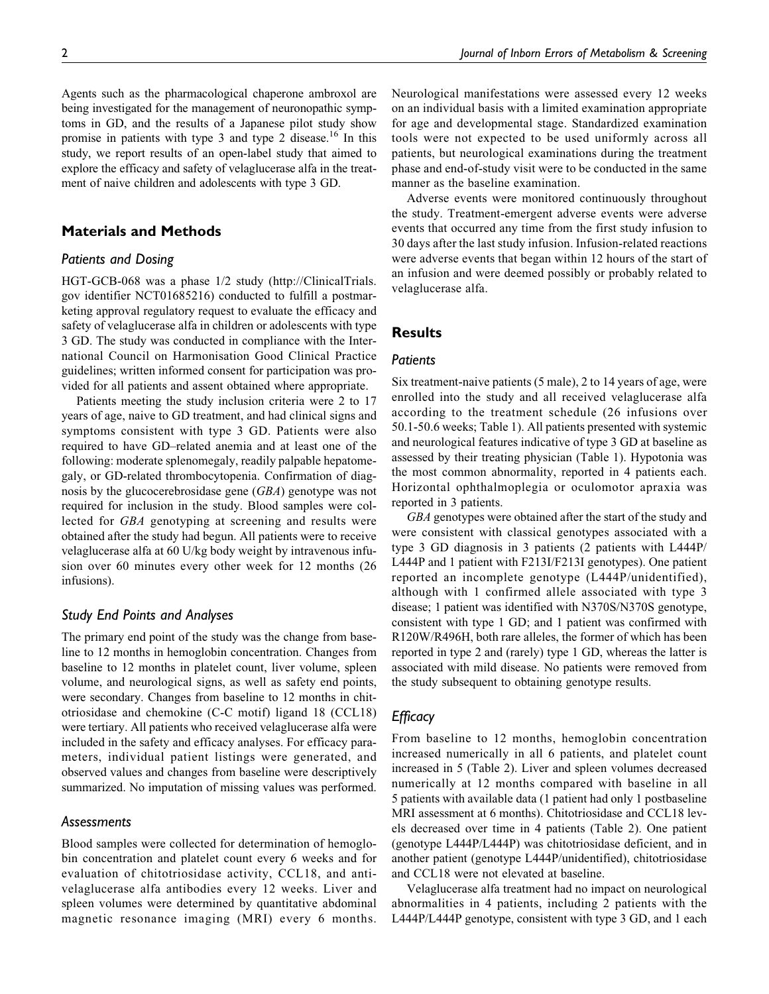Agents such as the pharmacological chaperone ambroxol are being investigated for the management of neuronopathic symptoms in GD, and the results of a Japanese pilot study show promise in patients with type 3 and type 2 disease.<sup>16</sup> In this study, we report results of an open-label study that aimed to explore the efficacy and safety of velaglucerase alfa in the treatment of naive children and adolescents with type 3 GD.

## Materials and Methods

## Patients and Dosing

HGT-GCB-068 was a phase 1/2 study [\(http://ClinicalTrials.](http://ClinicalTrials.gov) [gov](http://ClinicalTrials.gov) identifier NCT01685216) conducted to fulfill a postmarketing approval regulatory request to evaluate the efficacy and safety of velaglucerase alfa in children or adolescents with type 3 GD. The study was conducted in compliance with the International Council on Harmonisation Good Clinical Practice guidelines; written informed consent for participation was provided for all patients and assent obtained where appropriate.

Patients meeting the study inclusion criteria were 2 to 17 years of age, naive to GD treatment, and had clinical signs and symptoms consistent with type 3 GD. Patients were also required to have GD–related anemia and at least one of the following: moderate splenomegaly, readily palpable hepatomegaly, or GD-related thrombocytopenia. Confirmation of diagnosis by the glucocerebrosidase gene (GBA) genotype was not required for inclusion in the study. Blood samples were collected for GBA genotyping at screening and results were obtained after the study had begun. All patients were to receive velaglucerase alfa at 60 U/kg body weight by intravenous infusion over 60 minutes every other week for 12 months (26 infusions).

### Study End Points and Analyses

The primary end point of the study was the change from baseline to 12 months in hemoglobin concentration. Changes from baseline to 12 months in platelet count, liver volume, spleen volume, and neurological signs, as well as safety end points, were secondary. Changes from baseline to 12 months in chitotriosidase and chemokine (C-C motif) ligand 18 (CCL18) were tertiary. All patients who received velaglucerase alfa were included in the safety and efficacy analyses. For efficacy parameters, individual patient listings were generated, and observed values and changes from baseline were descriptively summarized. No imputation of missing values was performed.

## **Assessments**

Blood samples were collected for determination of hemoglobin concentration and platelet count every 6 weeks and for evaluation of chitotriosidase activity, CCL18, and antivelaglucerase alfa antibodies every 12 weeks. Liver and spleen volumes were determined by quantitative abdominal magnetic resonance imaging (MRI) every 6 months. Neurological manifestations were assessed every 12 weeks on an individual basis with a limited examination appropriate for age and developmental stage. Standardized examination tools were not expected to be used uniformly across all patients, but neurological examinations during the treatment phase and end-of-study visit were to be conducted in the same manner as the baseline examination.

Adverse events were monitored continuously throughout the study. Treatment-emergent adverse events were adverse events that occurred any time from the first study infusion to 30 days after the last study infusion. Infusion-related reactions were adverse events that began within 12 hours of the start of an infusion and were deemed possibly or probably related to velaglucerase alfa.

## Results

#### Patients

Six treatment-naive patients (5 male), 2 to 14 years of age, were enrolled into the study and all received velaglucerase alfa according to the treatment schedule (26 infusions over 50.1-50.6 weeks; Table 1). All patients presented with systemic and neurological features indicative of type 3 GD at baseline as assessed by their treating physician (Table 1). Hypotonia was the most common abnormality, reported in 4 patients each. Horizontal ophthalmoplegia or oculomotor apraxia was reported in 3 patients.

GBA genotypes were obtained after the start of the study and were consistent with classical genotypes associated with a type 3 GD diagnosis in 3 patients (2 patients with L444P/ L444P and 1 patient with F213I/F213I genotypes). One patient reported an incomplete genotype (L444P/unidentified), although with 1 confirmed allele associated with type 3 disease; 1 patient was identified with N370S/N370S genotype, consistent with type 1 GD; and 1 patient was confirmed with R120W/R496H, both rare alleles, the former of which has been reported in type 2 and (rarely) type 1 GD, whereas the latter is associated with mild disease. No patients were removed from the study subsequent to obtaining genotype results.

## **Efficacy**

From baseline to 12 months, hemoglobin concentration increased numerically in all 6 patients, and platelet count increased in 5 (Table 2). Liver and spleen volumes decreased numerically at 12 months compared with baseline in all 5 patients with available data (1 patient had only 1 postbaseline MRI assessment at 6 months). Chitotriosidase and CCL18 levels decreased over time in 4 patients (Table 2). One patient (genotype L444P/L444P) was chitotriosidase deficient, and in another patient (genotype L444P/unidentified), chitotriosidase and CCL18 were not elevated at baseline.

Velaglucerase alfa treatment had no impact on neurological abnormalities in 4 patients, including 2 patients with the L444P/L444P genotype, consistent with type 3 GD, and 1 each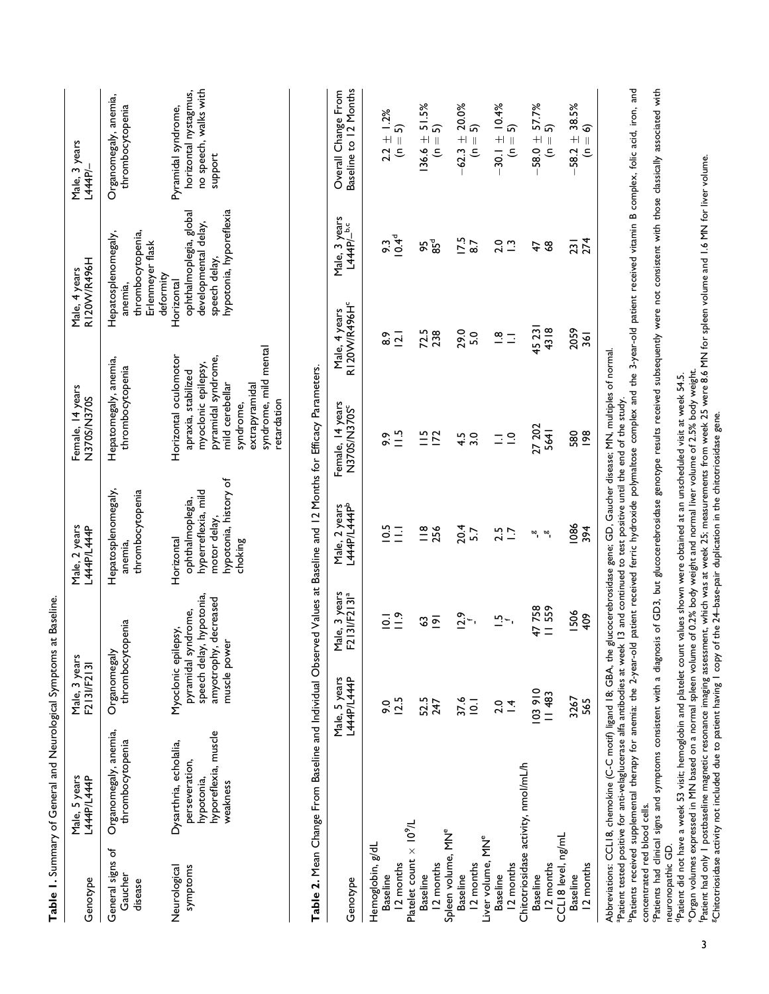| Genotype                               | Male, 5 years<br>L444P/L444P                                                                                                                                                                                                                                                  | Male, 3 years<br>F213I/F213I                       |                                                              | Male, 2 years<br>L444P/L444P                                                                              | Female, 14 years<br>N370S/N370S                                                                                                                                                      |                                    | R120W/R496H<br>Male, 4 years                                                                | Male, 3 years<br>L444P                                                                                                                                                                               |
|----------------------------------------|-------------------------------------------------------------------------------------------------------------------------------------------------------------------------------------------------------------------------------------------------------------------------------|----------------------------------------------------|--------------------------------------------------------------|-----------------------------------------------------------------------------------------------------------|--------------------------------------------------------------------------------------------------------------------------------------------------------------------------------------|------------------------------------|---------------------------------------------------------------------------------------------|------------------------------------------------------------------------------------------------------------------------------------------------------------------------------------------------------|
| General signs of<br>Gaucher<br>disease | Organomegaly, anemia,<br>thrombocytopenia                                                                                                                                                                                                                                     | thrombocytopenia<br>Organomegaly                   |                                                              | Hepatosplenomegaly,<br>thrombocytopenia<br>anemia,                                                        | Hepatomegaly, anemia,<br>thrombocytopenia                                                                                                                                            |                                    | Hepatosplenomegaly,<br>thrombocytopenia,<br>Erlenmeyer flask<br>deformity<br>anemia,        | Organomegaly, anemia,<br>thrombocytopenia                                                                                                                                                            |
| symptoms<br>Neurological               | hyporeflexia, muscle<br>Dysarthria, echolalia,<br>perseveration,<br>hypotonia,<br>weakness                                                                                                                                                                                    | Myoclonic epilepsy,<br>muscle power<br>amyotrophy, | speech delay, hypotonia,<br>decreased<br>pyramidal syndrome, | hypotonia, history of<br>hyperreflexia, mild<br>ophthalmoplegia,<br>motor delay,<br>Horizontal<br>choking | syndrome, mild mental<br>Horizontal oculomotor<br>pyramidal syndrome,<br>myoclonic epilepsy,<br>apraxia, stabilized<br>mild cerebellar<br>extrapyramidal<br>retardation<br>syndrome, | Horizontal                         | hypotonia, hyporeflexia<br>ophthalmoplegia, global<br>developmental delay,<br>speech delay, | no speech, walks with<br>horizontal nystagmus,<br>Pyramidal syndrome,<br>support                                                                                                                     |
|                                        | Table 2. Mean Change From Baseline and Individual Observed Values at Baseline and 12 Months for Efficacy Parameters.                                                                                                                                                          |                                                    |                                                              |                                                                                                           |                                                                                                                                                                                      |                                    |                                                                                             |                                                                                                                                                                                                      |
| Genotype                               |                                                                                                                                                                                                                                                                               | Male, 5 years<br>L44P/L444P                        | Male, 3 years<br>F213I/F2131ª                                | Male, 2 years<br>L444P/L444P <sup>b</sup>                                                                 | Female, 14 years<br>N370S/N370S <sup>c</sup>                                                                                                                                         | R120W/R496H°<br>Male, 4 years      | Male, 3 years<br>L444P/_ <sup>b,c</sup>                                                     | Baseline to 12 Months<br>Overall Change From                                                                                                                                                         |
| Hemoglobin, g/dL                       |                                                                                                                                                                                                                                                                               |                                                    |                                                              |                                                                                                           |                                                                                                                                                                                      |                                    |                                                                                             |                                                                                                                                                                                                      |
| <b>Baseline</b>                        |                                                                                                                                                                                                                                                                               | $\frac{6}{2}$                                      | $\overline{a}$                                               | 10.5                                                                                                      | 9.9                                                                                                                                                                                  | 8.9                                | 9.3                                                                                         | $2.2 \pm 1.2%$                                                                                                                                                                                       |
| 12 months                              |                                                                                                                                                                                                                                                                               | 12.5                                               | $\frac{9}{1}$                                                | $\overline{\Xi}$                                                                                          | $\frac{15}{11}$                                                                                                                                                                      | $\overline{2.1}$                   | $10.4^{\circ}$                                                                              | $(n = 5)$                                                                                                                                                                                            |
| Platelet count $\times 10^9$ /L        |                                                                                                                                                                                                                                                                               |                                                    |                                                              |                                                                                                           |                                                                                                                                                                                      |                                    |                                                                                             |                                                                                                                                                                                                      |
| <b>Baseline</b>                        |                                                                                                                                                                                                                                                                               | 52.5<br>247                                        | 3                                                            | $\frac{18}{256}$                                                                                          | $\frac{15}{1}$                                                                                                                                                                       | 72.5                               | 95                                                                                          | $136.6 \pm 51.5\%$<br>(n = 5)                                                                                                                                                                        |
| 12 months                              |                                                                                                                                                                                                                                                                               |                                                    | $\overline{2}$                                               |                                                                                                           | $\overline{2}$                                                                                                                                                                       |                                    | 85 <sup>d</sup>                                                                             |                                                                                                                                                                                                      |
| Spleen volume, MN°                     |                                                                                                                                                                                                                                                                               |                                                    |                                                              |                                                                                                           |                                                                                                                                                                                      |                                    |                                                                                             |                                                                                                                                                                                                      |
| <b>Baseline</b>                        |                                                                                                                                                                                                                                                                               | 37.6                                               | 12.9                                                         | $20.4$<br>5.7                                                                                             | 4.5                                                                                                                                                                                  | 29.0                               | 17.5                                                                                        | $-62.3 \pm 20.0\%$                                                                                                                                                                                   |
| 12 months                              |                                                                                                                                                                                                                                                                               | $\overline{2}$                                     |                                                              |                                                                                                           | $\overline{3.0}$                                                                                                                                                                     | 5.0                                | 8.7                                                                                         | $(n = 5)$                                                                                                                                                                                            |
| Liver volume, MN <sup>e</sup>          |                                                                                                                                                                                                                                                                               | 2.0                                                |                                                              |                                                                                                           |                                                                                                                                                                                      |                                    |                                                                                             |                                                                                                                                                                                                      |
| 12 months<br><b>Baseline</b>           |                                                                                                                                                                                                                                                                               | $\overline{4}$                                     | $\overline{a}$ .                                             | 2.5                                                                                                       | $\equiv$ $\cong$                                                                                                                                                                     | $\frac{\infty}{\cdot}$<br>$\equiv$ | $2.0$<br>$-2.5$                                                                             | $-30.1 \pm 10.4%$<br>$(n = 5)$                                                                                                                                                                       |
|                                        | Chitotriosidase activity, nmol/mL/h                                                                                                                                                                                                                                           |                                                    |                                                              |                                                                                                           |                                                                                                                                                                                      |                                    |                                                                                             |                                                                                                                                                                                                      |
| <b>Baseline</b>                        |                                                                                                                                                                                                                                                                               | 103910                                             | 47758                                                        | ∞,                                                                                                        | 27 202                                                                                                                                                                               | 45 231                             | 47                                                                                          | $-58.0 + 57.7%$                                                                                                                                                                                      |
| 12 months                              |                                                                                                                                                                                                                                                                               | <b>11483</b>                                       | II 559                                                       | $\omega$                                                                                                  | 5641                                                                                                                                                                                 | 4318                               | 38                                                                                          | $(n = 5)$                                                                                                                                                                                            |
| CCL18 level, ng/mL                     |                                                                                                                                                                                                                                                                               |                                                    |                                                              |                                                                                                           |                                                                                                                                                                                      |                                    |                                                                                             |                                                                                                                                                                                                      |
| <b>Baseline</b>                        |                                                                                                                                                                                                                                                                               | 3267                                               | 1506                                                         | 1086                                                                                                      | 580                                                                                                                                                                                  | 2059                               | 231                                                                                         | $-58.2 \pm 38.5\%$                                                                                                                                                                                   |
| 12 months                              |                                                                                                                                                                                                                                                                               | 565                                                | 409                                                          | 394                                                                                                       | <b>98</b>                                                                                                                                                                            | 361                                | 274                                                                                         | 6<br>$\overline{\mathbf{I}}$<br>ۊ                                                                                                                                                                    |
|                                        | Abbreviations: CCLI8, chemokine (C-C motif) ligand 18; GBA, the glucocerebrosidase gene; GD, Gaucher disease; MN, multiples of normal<br>Patient tested positive for anti-velaglucerase alfa antibodies at week 13 and continued to test positive until the end of the study. |                                                    |                                                              |                                                                                                           |                                                                                                                                                                                      |                                    |                                                                                             |                                                                                                                                                                                                      |
|                                        |                                                                                                                                                                                                                                                                               |                                                    |                                                              |                                                                                                           |                                                                                                                                                                                      |                                    |                                                                                             | Patients received supplemental therapy for anemia: the 2-year-old patient received ferric hydroxide polymaltose complex and the 3-year-old patient received vitamin B complex, folic acid, iron, and |

Table 1. Summary of General and Neurological Symptoms at Baseline.

Table 1. Summary of General and Neurological Symptoms at Baseline.

bPatients received supplemental therapy for anemia: the 2-year-old patient received ferric hydroxide polymaltose complex and the 3-year-old patient received vitamin B complex, folic acid, iron, and concentrated red blood cells.

Patients had clinical signs and symptoms consistent with a diagnosis of GD3, but glucocerebrosidase genotype results received subsequently were not consistent with those classically associated with neuronopathic GD.

dPatient did not have a week 53 visit; hemoglobin and platelet count values shown were obtained at an unscheduled visit at week 54.5.

eOrgan volumes expressed in MN based on a normal spleen volume of 0.2% body weight and normal liver volume of 2.5% body weight.

<sup>a</sup>Patient did not have a week 53 visit; hemoglobin and platelet count values shown were obtained at an unscheduled visit at week 54.5.<br>"Organ volumes expressed in MN based on a normal spleen volume of 0.2% body weight and fPatient had only 1 postbaseline magnetic resonance imaging assessment, which was at week 25; measurements from week 25 were 8.6 MN for spleen volume and 1.6 MN for liver volume.

gChitotriosidase activity not included due to patient having 1 copy of the 24–base-pair duplication in the chitotriosidase gene.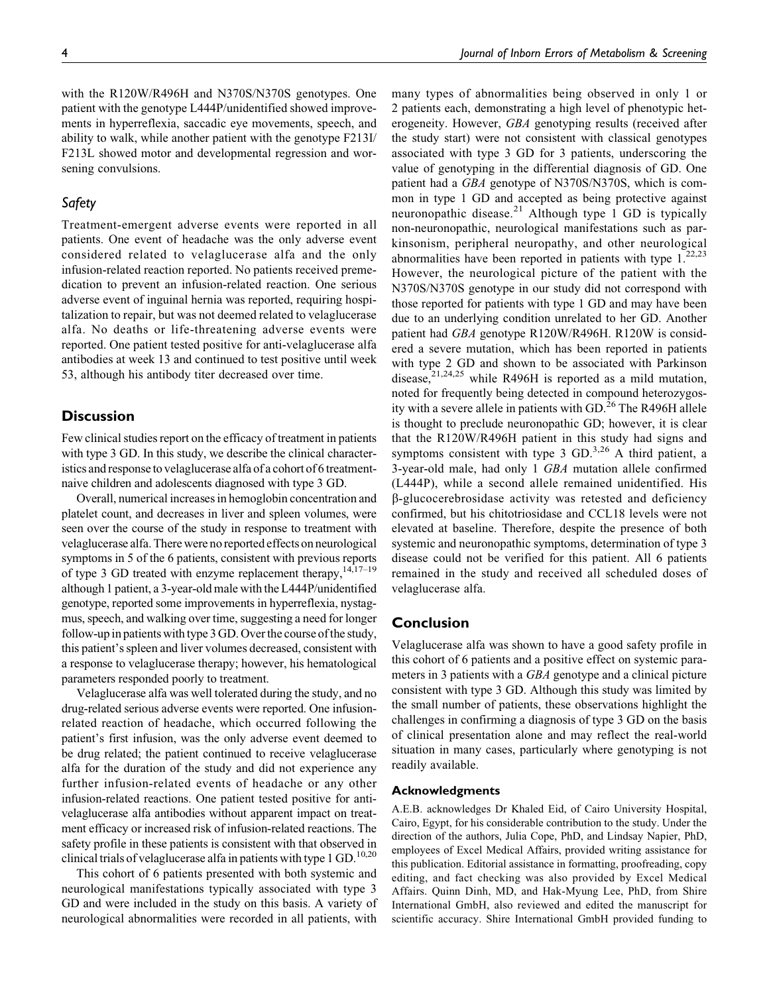with the R120W/R496H and N370S/N370S genotypes. One patient with the genotype L444P/unidentified showed improvements in hyperreflexia, saccadic eye movements, speech, and ability to walk, while another patient with the genotype F213I/ F213L showed motor and developmental regression and worsening convulsions.

## Safety

Treatment-emergent adverse events were reported in all patients. One event of headache was the only adverse event considered related to velaglucerase alfa and the only infusion-related reaction reported. No patients received premedication to prevent an infusion-related reaction. One serious adverse event of inguinal hernia was reported, requiring hospitalization to repair, but was not deemed related to velaglucerase alfa. No deaths or life-threatening adverse events were reported. One patient tested positive for anti-velaglucerase alfa antibodies at week 13 and continued to test positive until week 53, although his antibody titer decreased over time.

## **Discussion**

Few clinical studies report on the efficacy of treatment in patients with type 3 GD. In this study, we describe the clinical characteristics and response to velaglucerase alfa of a cohort of 6 treatmentnaive children and adolescents diagnosed with type 3 GD.

Overall, numerical increases in hemoglobin concentration and platelet count, and decreases in liver and spleen volumes, were seen over the course of the study in response to treatment with velaglucerase alfa. There were no reported effects on neurological symptoms in 5 of the 6 patients, consistent with previous reports of type 3 GD treated with enzyme replacement therapy,  $14,17-19$ although 1 patient, a 3-year-old male with the L444P/unidentified genotype, reported some improvements in hyperreflexia, nystagmus, speech, and walking over time, suggesting a need for longer follow-up in patients with type 3 GD. Over the course of the study, this patient's spleen and liver volumes decreased, consistent with a response to velaglucerase therapy; however, his hematological parameters responded poorly to treatment.

Velaglucerase alfa was well tolerated during the study, and no drug-related serious adverse events were reported. One infusionrelated reaction of headache, which occurred following the patient's first infusion, was the only adverse event deemed to be drug related; the patient continued to receive velaglucerase alfa for the duration of the study and did not experience any further infusion-related events of headache or any other infusion-related reactions. One patient tested positive for antivelaglucerase alfa antibodies without apparent impact on treatment efficacy or increased risk of infusion-related reactions. The safety profile in these patients is consistent with that observed in clinical trials of velaglucerase alfa in patients with type  $1$  GD.<sup>10,20</sup>

This cohort of 6 patients presented with both systemic and neurological manifestations typically associated with type 3 GD and were included in the study on this basis. A variety of neurological abnormalities were recorded in all patients, with

many types of abnormalities being observed in only 1 or 2 patients each, demonstrating a high level of phenotypic heterogeneity. However, GBA genotyping results (received after the study start) were not consistent with classical genotypes associated with type 3 GD for 3 patients, underscoring the value of genotyping in the differential diagnosis of GD. One patient had a GBA genotype of N370S/N370S, which is common in type 1 GD and accepted as being protective against neuronopathic disease. $21$  Although type 1 GD is typically non-neuronopathic, neurological manifestations such as parkinsonism, peripheral neuropathy, and other neurological abnormalities have been reported in patients with type  $1.^{22,23}$ However, the neurological picture of the patient with the N370S/N370S genotype in our study did not correspond with those reported for patients with type 1 GD and may have been due to an underlying condition unrelated to her GD. Another patient had GBA genotype R120W/R496H. R120W is considered a severe mutation, which has been reported in patients with type 2 GD and shown to be associated with Parkinson disease,<sup>21,24,25</sup> while R496H is reported as a mild mutation, noted for frequently being detected in compound heterozygosity with a severe allele in patients with GD.<sup>26</sup> The R496H allele is thought to preclude neuronopathic GD; however, it is clear that the R120W/R496H patient in this study had signs and symptoms consistent with type 3  $GD.^{3,26}$  A third patient, a 3-year-old male, had only 1 GBA mutation allele confirmed (L444P), while a second allele remained unidentified. His b-glucocerebrosidase activity was retested and deficiency confirmed, but his chitotriosidase and CCL18 levels were not elevated at baseline. Therefore, despite the presence of both systemic and neuronopathic symptoms, determination of type 3 disease could not be verified for this patient. All 6 patients remained in the study and received all scheduled doses of velaglucerase alfa.

## Conclusion

Velaglucerase alfa was shown to have a good safety profile in this cohort of 6 patients and a positive effect on systemic parameters in 3 patients with a *GBA* genotype and a clinical picture consistent with type 3 GD. Although this study was limited by the small number of patients, these observations highlight the challenges in confirming a diagnosis of type 3 GD on the basis of clinical presentation alone and may reflect the real-world situation in many cases, particularly where genotyping is not readily available.

#### Acknowledgments

A.E.B. acknowledges Dr Khaled Eid, of Cairo University Hospital, Cairo, Egypt, for his considerable contribution to the study. Under the direction of the authors, Julia Cope, PhD, and Lindsay Napier, PhD, employees of Excel Medical Affairs, provided writing assistance for this publication. Editorial assistance in formatting, proofreading, copy editing, and fact checking was also provided by Excel Medical Affairs. Quinn Dinh, MD, and Hak-Myung Lee, PhD, from Shire International GmbH, also reviewed and edited the manuscript for scientific accuracy. Shire International GmbH provided funding to